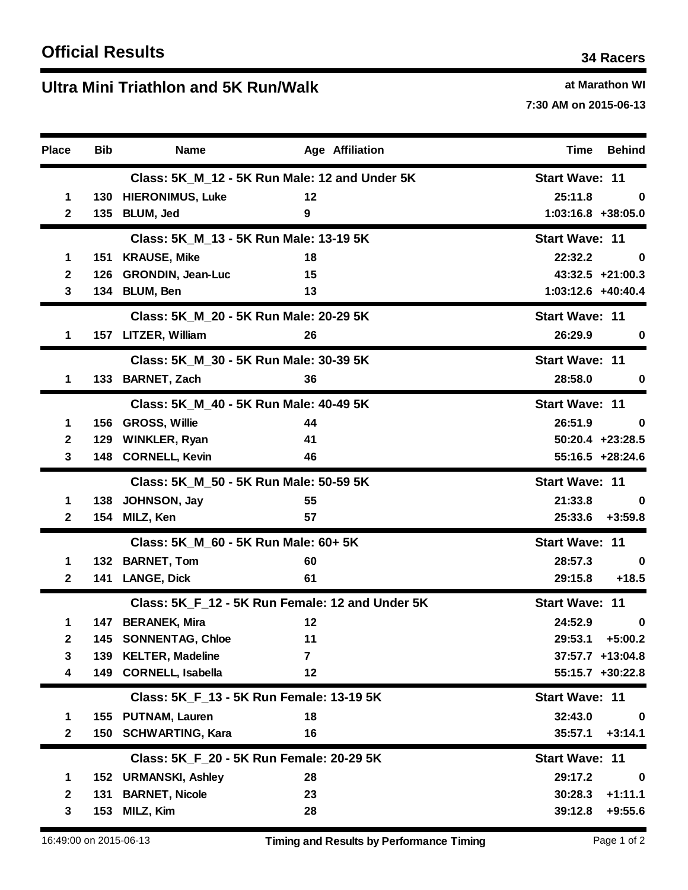## **U at Marathon WI ltra Mini Triathlon and 5K Run/Walk**

**7:30 AM on 2015-06-13**

| <b>Place</b> | <b>Bib</b> | <b>Name</b>                                     | <b>Age Affiliation</b> | <b>Behind</b><br>Time  |
|--------------|------------|-------------------------------------------------|------------------------|------------------------|
|              |            | Class: 5K_M_12 - 5K Run Male: 12 and Under 5K   | <b>Start Wave: 11</b>  |                        |
| $\mathbf 1$  |            | 130 HIERONIMUS, Luke                            | 12                     | 25:11.8<br>0           |
| $\mathbf{2}$ | 135        | <b>BLUM, Jed</b>                                | 9                      | $1:03:16.8$ +38:05.0   |
|              |            | Class: 5K_M_13 - 5K Run Male: 13-19 5K          | <b>Start Wave: 11</b>  |                        |
| 1            | 151        | <b>KRAUSE, Mike</b>                             | 18                     | 22:32.2<br>0           |
| $\mathbf{2}$ | 126        | <b>GRONDIN, Jean-Luc</b>                        | 15                     | $43:32.5$ +21:00.3     |
| 3            |            | 134 BLUM, Ben                                   | 13                     | 1:03:12.6 +40:40.4     |
|              |            | Class: 5K_M_20 - 5K Run Male: 20-29 5K          | <b>Start Wave: 11</b>  |                        |
| 1            |            | 157 LITZER, William                             | 26                     | 26:29.9<br>0           |
|              |            | Class: 5K_M_30 - 5K Run Male: 30-39 5K          |                        | <b>Start Wave: 11</b>  |
| $\mathbf 1$  |            | 133 BARNET, Zach                                | 36                     | 28:58.0<br>0           |
|              |            | Class: 5K_M_40 - 5K Run Male: 40-49 5K          | <b>Start Wave: 11</b>  |                        |
| 1            | 156        | <b>GROSS, Willie</b>                            | 44                     | 26:51.9<br>$\bf{0}$    |
| $\mathbf{2}$ | 129        | <b>WINKLER, Ryan</b>                            | 41                     | $50:20.4$ +23:28.5     |
| 3            |            | 148 CORNELL, Kevin                              | 46                     | $55:16.5 + 28:24.6$    |
|              |            | Class: 5K_M_50 - 5K Run Male: 50-59 5K          | <b>Start Wave: 11</b>  |                        |
| 1            | 138        | JOHNSON, Jay                                    | 55                     | 21:33.8<br>0           |
| $\mathbf{2}$ | 154        | MILZ, Ken                                       | 57                     | 25:33.6<br>$+3:59.8$   |
|              |            | Class: 5K_M_60 - 5K Run Male: 60+ 5K            | <b>Start Wave: 11</b>  |                        |
| 1            |            | 132 BARNET, Tom                                 | 60                     | 28:57.3<br>0           |
| $\mathbf{2}$ |            | 141 LANGE, Dick                                 | 61                     | 29:15.8<br>$+18.5$     |
|              |            | Class: 5K_F_12 - 5K Run Female: 12 and Under 5K | <b>Start Wave: 11</b>  |                        |
| 1            |            | 147 BERANEK, Mira                               | 12                     | 24:52.9<br>$\bf{0}$    |
| 2            |            | 145 SONNENTAG, Chloe                            | 11                     | 29:53.1<br>$+5:00.2$   |
| 3            |            | 139 KELTER, Madeline                            | $\overline{7}$         | $37:57.7$ +13:04.8     |
| 4            |            | 149 CORNELL, Isabella                           | 12                     | $55:15.7$ +30:22.8     |
|              |            | Class: 5K_F_13 - 5K Run Female: 13-19 5K        | <b>Start Wave: 11</b>  |                        |
| 1            |            | 155 PUTNAM, Lauren                              | 18                     | 32:43.0<br>$\mathbf 0$ |
| $\mathbf{2}$ |            | 150 SCHWARTING, Kara                            | 16                     | 35:57.1<br>$+3:14.1$   |
|              |            | Class: 5K F 20 - 5K Run Female: 20-29 5K        | <b>Start Wave: 11</b>  |                        |
| 1            |            | 152 URMANSKI, Ashley                            | 28                     | 29:17.2<br>$\mathbf 0$ |
| $\mathbf{2}$ | 131        | <b>BARNET, Nicole</b>                           | 23                     | $+1:11.1$<br>30:28.3   |
| 3            |            | 153 MILZ, Kim                                   | 28                     | 39:12.8<br>$+9:55.6$   |